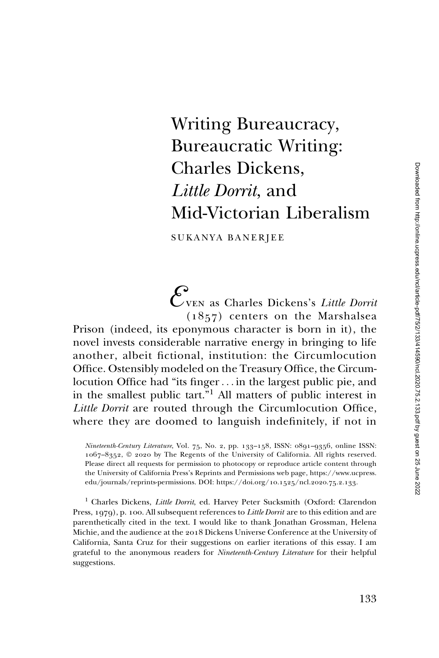## Writing Bureaucracy, Bureaucratic Writing: Charles Dickens, Little Dorrit, and Mid-Victorian Liberalism

SUKANYA BANERJEE

Even as Charles Dickens's Little Dorrit (1857) centers on the Marshalsea Prison (indeed, its eponymous character is born in it), the novel invests considerable narrative energy in bringing to life

another, albeit fictional, institution: the Circumlocution Office. Ostensibly modeled on the Treasury Office, the Circumlocution Office had "its finger... in the largest public pie, and in the smallest public tart."<sup>1</sup> All matters of public interest in Little Dorrit are routed through the Circumlocution Office, where they are doomed to languish indefinitely, if not in

Nineteenth-Century Literature, Vol. 75, No. 2, pp. 133–158, ISSN: 0891–9356, online ISSN: 1067–8352, © 2020 by The Regents of the University of California. All rights reserved. Please direct all requests for permission to photocopy or reproduce article content through the University of California Press's Reprints and Permissions web page, [https://www.ucpress.](https://www.ucpress.edu/journals/reprints-permissions) [edu/journals/reprints-permissions](https://www.ucpress.edu/journals/reprints-permissions). [DOI: https://doi.org/](https://doi.org/10.1525/ncl.2020.75.2.133)10.1525/ncl.2020.75.2.133.

<sup>1</sup> Charles Dickens, Little Dorrit, ed. Harvey Peter Sucksmith (Oxford: Clarendon Press, 1979), p. 100. All subsequent references to *Little Dorrit* are to this edition and are parenthetically cited in the text. I would like to thank Jonathan Grossman, Helena Michie, and the audience at the 2018 Dickens Universe Conference at the University of California, Santa Cruz for their suggestions on earlier iterations of this essay. I am grateful to the anonymous readers for *Nineteenth-Century Literature* for their helpful suggestions.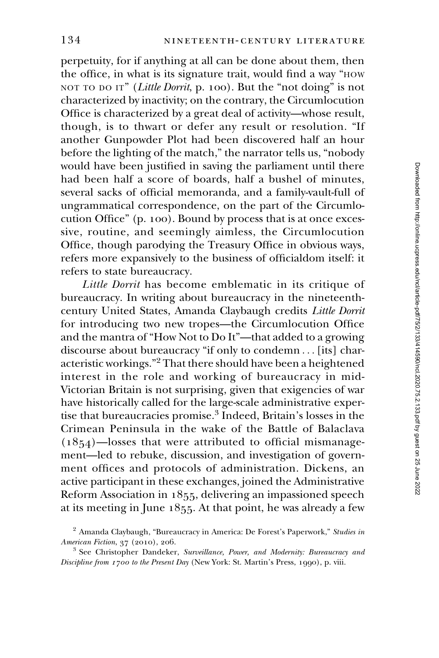perpetuity, for if anything at all can be done about them, then the office, in what is its signature trait, would find a way "HOW NOT TO DO IT" (Little Dorrit, p. 100). But the "not doing" is not characterized by inactivity; on the contrary, the Circumlocution Office is characterized by a great deal of activity—whose result, though, is to thwart or defer any result or resolution. "If another Gunpowder Plot had been discovered half an hour before the lighting of the match," the narrator tells us, "nobody would have been justified in saving the parliament until there had been half a score of boards, half a bushel of minutes, several sacks of official memoranda, and a family-vault-full of ungrammatical correspondence, on the part of the Circumlocution Office" (p. 100). Bound by process that is at once excessive, routine, and seemingly aimless, the Circumlocution Office, though parodying the Treasury Office in obvious ways, refers more expansively to the business of officialdom itself: it refers to state bureaucracy.

Little Dorrit has become emblematic in its critique of bureaucracy. In writing about bureaucracy in the nineteenthcentury United States, Amanda Claybaugh credits Little Dorrit for introducing two new tropes—the Circumlocution Office and the mantra of "How Not to Do It"—that added to a growing discourse about bureaucracy "if only to condemn ... [its] characteristic workings."<sup>2</sup> That there should have been a heightened interest in the role and working of bureaucracy in mid-Victorian Britain is not surprising, given that exigencies of war have historically called for the large-scale administrative expertise that bureaucracies promise.<sup>3</sup> Indeed, Britain's losses in the Crimean Peninsula in the wake of the Battle of Balaclava  $(1854)$ —losses that were attributed to official mismanagement—led to rebuke, discussion, and investigation of government offices and protocols of administration. Dickens, an active participant in these exchanges, joined the Administrative Reform Association in 1855, delivering an impassioned speech at its meeting in June 1855. At that point, he was already a few

<sup>&</sup>lt;sup>2</sup> Amanda Claybaugh, "Bureaucracy in America: De Forest's Paperwork," Studies in American Fiction, 37 (2010), 206.

<sup>&</sup>lt;sup>3</sup> See Christopher Dandeker, Surveillance, Power, and Modernity: Bureaucracy and Discipline from 1700 to the Present Day (New York: St. Martin's Press, 1990), p. viii.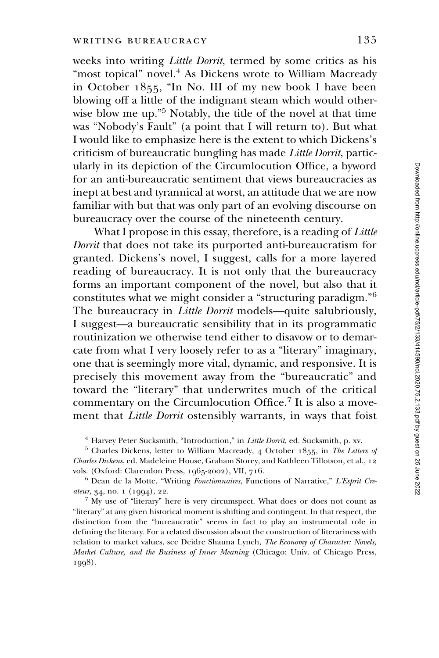weeks into writing Little Dorrit, termed by some critics as his "most topical" novel.<sup>4</sup> As Dickens wrote to William Macready in October 1855, "In No. III of my new book I have been blowing off a little of the indignant steam which would otherwise blow me up."<sup>5</sup> Notably, the title of the novel at that time was "Nobody's Fault" (a point that I will return to). But what I would like to emphasize here is the extent to which Dickens's criticism of bureaucratic bungling has made Little Dorrit, particularly in its depiction of the Circumlocution Office, a byword for an anti-bureaucratic sentiment that views bureaucracies as inept at best and tyrannical at worst, an attitude that we are now familiar with but that was only part of an evolving discourse on bureaucracy over the course of the nineteenth century.

What I propose in this essay, therefore, is a reading of Little Dorrit that does not take its purported anti-bureaucratism for granted. Dickens's novel, I suggest, calls for a more layered reading of bureaucracy. It is not only that the bureaucracy forms an important component of the novel, but also that it constitutes what we might consider a "structuring paradigm."<sup>6</sup> The bureaucracy in *Little Dorrit* models—quite salubriously, I suggest—a bureaucratic sensibility that in its programmatic routinization we otherwise tend either to disavow or to demarcate from what I very loosely refer to as a "literary" imaginary, one that is seemingly more vital, dynamic, and responsive. It is precisely this movement away from the "bureaucratic" and toward the "literary" that underwrites much of the critical commentary on the Circumlocution Office.<sup>7</sup> It is also a movement that Little Dorrit ostensibly warrants, in ways that foist

 $4$  Harvey Peter Sucksmith, "Introduction," in *Little Dorrit*, ed. Sucksmith, p. xv.

 $5$  Charles Dickens, letter to William Macready, 4 October 1855, in The Letters of Charles Dickens, ed. Madeleine House, Graham Storey, and Kathleen Tillotson, et al., 12 vols. (Oxford: Clarendon Press, 1965-2002), VII, 716.

<sup>6</sup> Dean de la Motte, "Writing Fonctionnaires, Functions of Narrative," L'Esprit Createur, 34, no. 1 (1994), 22.

 $7$  My use of "literary" here is very circumspect. What does or does not count as "literary" at any given historical moment is shifting and contingent. In that respect, the distinction from the "bureaucratic" seems in fact to play an instrumental role in defining the literary. For a related discussion about the construction of literariness with relation to market values, see Deidre Shauna Lynch, The Economy of Character: Novels, Market Culture, and the Business of Inner Meaning (Chicago: Univ. of Chicago Press, 1998).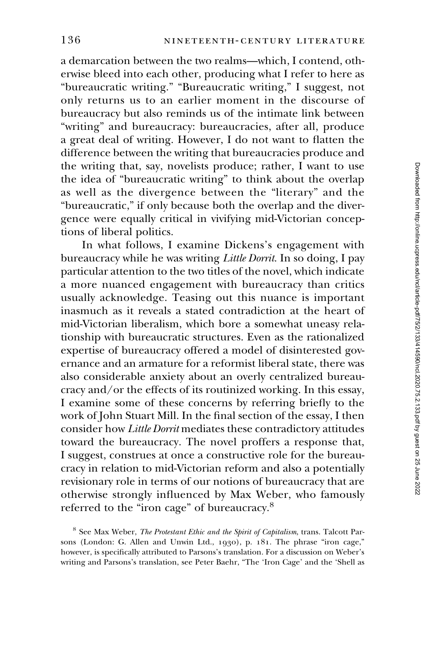a demarcation between the two realms—which, I contend, otherwise bleed into each other, producing what I refer to here as "bureaucratic writing." "Bureaucratic writing," I suggest, not only returns us to an earlier moment in the discourse of bureaucracy but also reminds us of the intimate link between "writing" and bureaucracy: bureaucracies, after all, produce a great deal of writing. However, I do not want to flatten the difference between the writing that bureaucracies produce and the writing that, say, novelists produce; rather, I want to use the idea of "bureaucratic writing" to think about the overlap as well as the divergence between the "literary" and the "bureaucratic," if only because both the overlap and the divergence were equally critical in vivifying mid-Victorian conceptions of liberal politics.

In what follows, I examine Dickens's engagement with bureaucracy while he was writing Little Dorrit. In so doing, I pay particular attention to the two titles of the novel, which indicate a more nuanced engagement with bureaucracy than critics usually acknowledge. Teasing out this nuance is important inasmuch as it reveals a stated contradiction at the heart of mid-Victorian liberalism, which bore a somewhat uneasy relationship with bureaucratic structures. Even as the rationalized expertise of bureaucracy offered a model of disinterested governance and an armature for a reformist liberal state, there was also considerable anxiety about an overly centralized bureaucracy and/or the effects of its routinized working. In this essay, I examine some of these concerns by referring briefly to the work of John Stuart Mill. In the final section of the essay, I then consider how Little Dorrit mediates these contradictory attitudes toward the bureaucracy. The novel proffers a response that, I suggest, construes at once a constructive role for the bureaucracy in relation to mid-Victorian reform and also a potentially revisionary role in terms of our notions of bureaucracy that are otherwise strongly influenced by Max Weber, who famously referred to the "iron cage" of bureaucracy.<sup>8</sup>

<sup>&</sup>lt;sup>8</sup> See Max Weber, *The Protestant Ethic and the Spirit of Capitalism*, trans. Talcott Parsons (London: G. Allen and Unwin Ltd., 1930), p. 181. The phrase "iron cage," however, is specifically attributed to Parsons's translation. For a discussion on Weber's writing and Parsons's translation, see Peter Baehr, "The 'Iron Cage' and the 'Shell as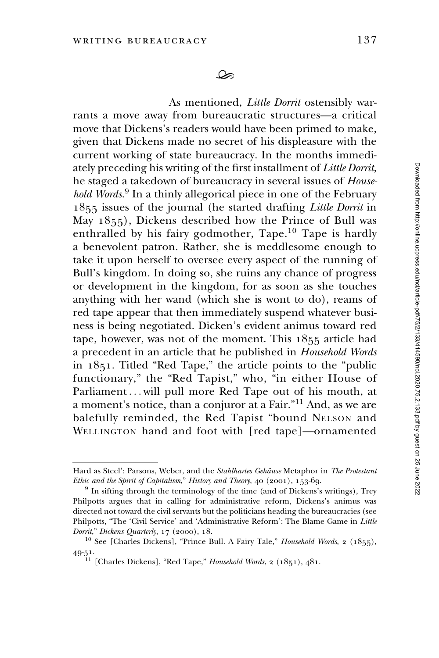As mentioned, Little Dorrit ostensibly warrants a move away from bureaucratic structures—a critical move that Dickens's readers would have been primed to make, given that Dickens made no secret of his displeasure with the current working of state bureaucracy. In the months immediately preceding his writing of the first installment of Little Dorrit, he staged a takedown of bureaucracy in several issues of Household Words.<sup>9</sup> In a thinly allegorical piece in one of the February 1855 issues of the journal (he started drafting Little Dorrit in May 1855), Dickens described how the Prince of Bull was enthralled by his fairy godmother, Tape.<sup>10</sup> Tape is hardly a benevolent patron. Rather, she is meddlesome enough to take it upon herself to oversee every aspect of the running of Bull's kingdom. In doing so, she ruins any chance of progress or development in the kingdom, for as soon as she touches anything with her wand (which she is wont to do), reams of red tape appear that then immediately suspend whatever business is being negotiated. Dicken's evident animus toward red tape, however, was not of the moment. This 1855 article had a precedent in an article that he published in Household Words in 1851. Titled "Red Tape," the article points to the "public functionary," the "Red Tapist," who, "in either House of Parliament... will pull more Red Tape out of his mouth, at a moment's notice, than a conjuror at a Fair."<sup>11</sup> And, as we are balefully reminded, the Red Tapist "bound NELSON and WELLINGTON hand and foot with [red tape]—ornamented *nou woras*. In a time<br>1855 issues of the jc<br>May 1855), Dickens<br>enthralled by his fa<br>a benevolent patron<br>take it upon herself<br>Bull's kingdom. In d<br>or development in t<br>anything with her was<br>red tape appear that<br>ness is bei

Hard as Steel': Parsons, Weber, and the Stahlhartes Gehäuse Metaphor in The Protestant Ethic and the Spirit of Capitalism," History and Theory, 40 (2001), 153-69.

 $9$  In sifting through the terminology of the time (and of Dickens's writings), Trey Philpotts argues that in calling for administrative reform, Dickens's animus was directed not toward the civil servants but the politicians heading the bureaucracies (see Philpotts, "The 'Civil Service' and 'Administrative Reform': The Blame Game in Little Dorrit," Dickens Quarterly, 17 (2000), 18.

<sup>&</sup>lt;sup>10</sup> See [Charles Dickens], "Prince Bull. A Fairy Tale," *Household Words*, 2 (1855), 49-51.

<sup>&</sup>lt;sup>11</sup> [Charles Dickens], "Red Tape," Household Words, 2 (1851), 481.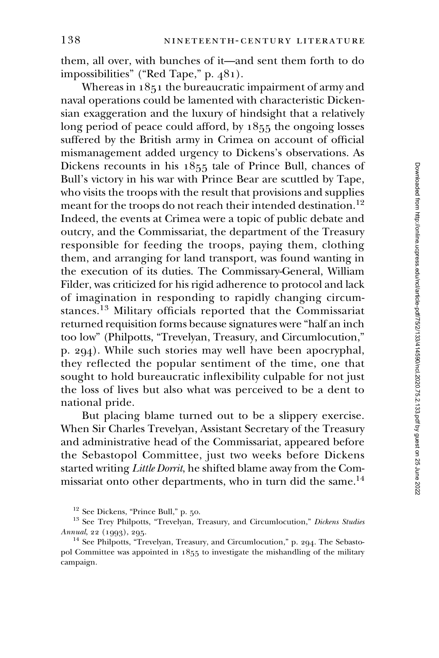them, all over, with bunches of it—and sent them forth to do impossibilities" ("Red Tape," p. 481).

Whereas in 1851 the bureaucratic impairment of army and naval operations could be lamented with characteristic Dickensian exaggeration and the luxury of hindsight that a relatively long period of peace could afford, by 1855 the ongoing losses suffered by the British army in Crimea on account of official mismanagement added urgency to Dickens's observations. As Dickens recounts in his 1855 tale of Prince Bull, chances of Bull's victory in his war with Prince Bear are scuttled by Tape, who visits the troops with the result that provisions and supplies meant for the troops do not reach their intended destination.<sup>12</sup> Indeed, the events at Crimea were a topic of public debate and outcry, and the Commissariat, the department of the Treasury responsible for feeding the troops, paying them, clothing them, and arranging for land transport, was found wanting in the execution of its duties. The Commissary-General, William Filder, was criticized for his rigid adherence to protocol and lack of imagination in responding to rapidly changing circumstances.<sup>13</sup> Military officials reported that the Commissariat returned requisition forms because signatures were "half an inch too low" (Philpotts, "Trevelyan, Treasury, and Circumlocution," p. 294). While such stories may well have been apocryphal, they reflected the popular sentiment of the time, one that sought to hold bureaucratic inflexibility culpable for not just the loss of lives but also what was perceived to be a dent to national pride.

But placing blame turned out to be a slippery exercise. When Sir Charles Trevelyan, Assistant Secretary of the Treasury and administrative head of the Commissariat, appeared before the Sebastopol Committee, just two weeks before Dickens started writing Little Dorrit, he shifted blame away from the Commissariat onto other departments, who in turn did the same.<sup>14</sup>

<sup>12</sup> See Dickens, "Prince Bull," p. 50.

<sup>&</sup>lt;sup>13</sup> See Trey Philpotts, "Trevelyan, Treasury, and Circumlocution," Dickens Studies Annual, 22 (1993), 295.

<sup>&</sup>lt;sup>14</sup> See Philpotts, "Trevelyan, Treasury, and Circumlocution," p. 294. The Sebastopol Committee was appointed in 1855 to investigate the mishandling of the military campaign.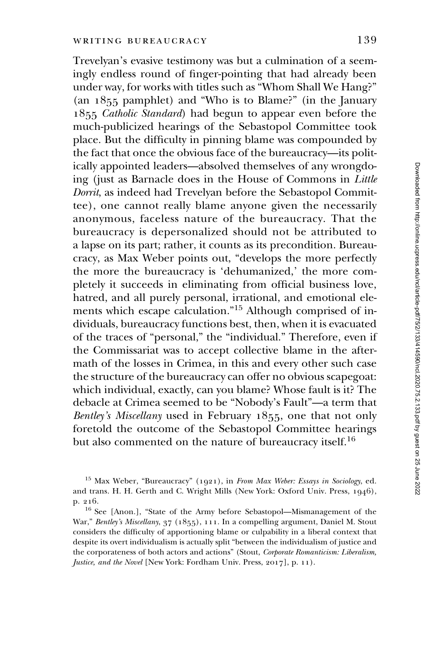Trevelyan's evasive testimony was but a culmination of a seemingly endless round of finger-pointing that had already been under way, for works with titles such as "Whom Shall We Hang?" (an 1855 pamphlet) and "Who is to Blame?" (in the January 1855 Catholic Standard) had begun to appear even before the much-publicized hearings of the Sebastopol Committee took place. But the difficulty in pinning blame was compounded by the fact that once the obvious face of the bureaucracy—its politically appointed leaders—absolved themselves of any wrongdoing (just as Barnacle does in the House of Commons in Little Dorrit, as indeed had Trevelyan before the Sebastopol Committee), one cannot really blame anyone given the necessarily anonymous, faceless nature of the bureaucracy. That the bureaucracy is depersonalized should not be attributed to a lapse on its part; rather, it counts as its precondition. Bureaucracy, as Max Weber points out, "develops the more perfectly the more the bureaucracy is 'dehumanized,' the more completely it succeeds in eliminating from official business love, hatred, and all purely personal, irrational, and emotional elements which escape calculation."<sup>15</sup> Although comprised of individuals, bureaucracy functions best, then, when it is evacuated of the traces of "personal," the "individual." Therefore, even if the Commissariat was to accept collective blame in the aftermath of the losses in Crimea, in this and every other such case the structure of the bureaucracy can offer no obvious scapegoat: which individual, exactly, can you blame? Whose fault is it? The debacle at Crimea seemed to be "Nobody's Fault"—a term that Bentley's Miscellany used in February 1855, one that not only foretold the outcome of the Sebastopol Committee hearings but also commented on the nature of bureaucracy itself.<sup>16</sup>

<sup>&</sup>lt;sup>15</sup> Max Weber, "Bureaucracy" (1921), in From Max Weber: Essays in Sociology, ed. and trans. H. H. Gerth and C. Wright Mills (New York: Oxford Univ. Press, 1946), p. 216.

<sup>16</sup> See [Anon.], "State of the Army before Sebastopol—Mismanagement of the War," Bentley's Miscellany, 37 (1855), 111. In a compelling argument, Daniel M. Stout considers the difficulty of apportioning blame or culpability in a liberal context that despite its overt individualism is actually split "between the individualism of justice and the corporateness of both actors and actions" (Stout, Corporate Romanticism: Liberalism, Justice, and the Novel [New York: Fordham Univ. Press, 2017], p. 11).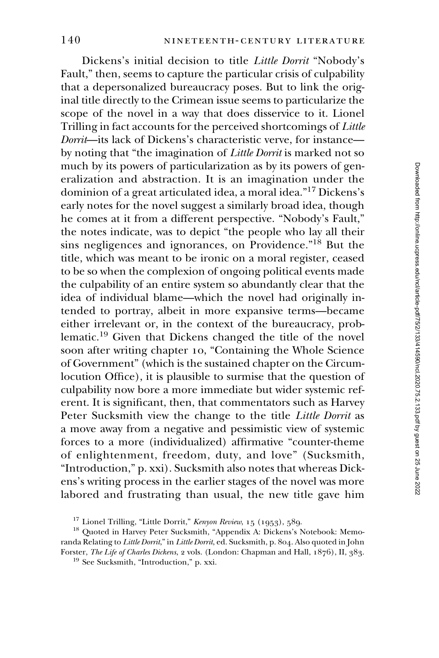Dickens's initial decision to title Little Dorrit "Nobody's Fault," then, seems to capture the particular crisis of culpability that a depersonalized bureaucracy poses. But to link the original title directly to the Crimean issue seems to particularize the scope of the novel in a way that does disservice to it. Lionel Trilling in fact accounts for the perceived shortcomings of Little Dorrit—its lack of Dickens's characteristic verve, for instance by noting that "the imagination of Little Dorrit is marked not so much by its powers of particularization as by its powers of generalization and abstraction. It is an imagination under the dominion of a great articulated idea, a moral idea."<sup>17</sup> Dickens's early notes for the novel suggest a similarly broad idea, though he comes at it from a different perspective. "Nobody's Fault," the notes indicate, was to depict "the people who lay all their sins negligences and ignorances, on Providence."<sup>18</sup> But the title, which was meant to be ironic on a moral register, ceased to be so when the complexion of ongoing political events made the culpability of an entire system so abundantly clear that the idea of individual blame—which the novel had originally intended to portray, albeit in more expansive terms—became either irrelevant or, in the context of the bureaucracy, problematic.<sup>19</sup> Given that Dickens changed the title of the novel soon after writing chapter 10, "Containing the Whole Science of Government" (which is the sustained chapter on the Circumlocution Office), it is plausible to surmise that the question of culpability now bore a more immediate but wider systemic referent. It is significant, then, that commentators such as Harvey Peter Sucksmith view the change to the title Little Dorrit as a move away from a negative and pessimistic view of systemic forces to a more (individualized) affirmative "counter-theme of enlightenment, freedom, duty, and love" (Sucksmith, "Introduction," p. xxi). Sucksmith also notes that whereas Dickens's writing process in the earlier stages of the novel was more labored and frustrating than usual, the new title gave him

<sup>&</sup>lt;sup>17</sup> Lionel Trilling, "Little Dorrit," Kenyon Review, 15 (1953), 589.

<sup>18</sup> Quoted in Harvey Peter Sucksmith, "Appendix A: Dickens's Notebook: Memoranda Relating to Little Dorrit," in Little Dorrit, ed. Sucksmith, p. 804. Also quoted in John Forster, The Life of Charles Dickens, 2 vols. (London: Chapman and Hall, 1876), II, 383.

<sup>19</sup> See Sucksmith, "Introduction," p. xxi.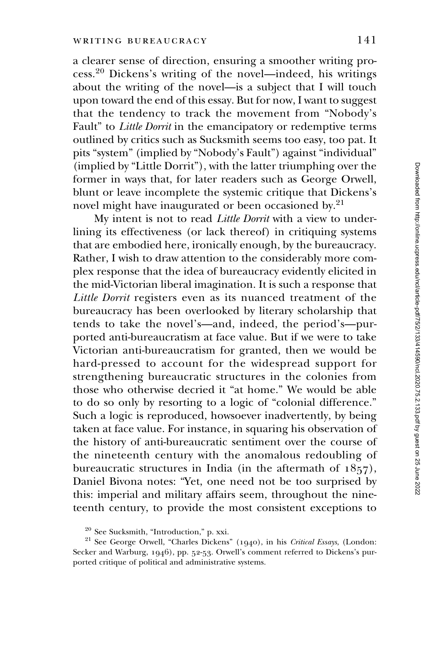a clearer sense of direction, ensuring a smoother writing process.<sup>20</sup> Dickens's writing of the novel—indeed, his writings about the writing of the novel—is a subject that I will touch upon toward the end of this essay. But for now, I want to suggest that the tendency to track the movement from "Nobody's Fault" to *Little Dorrit* in the emancipatory or redemptive terms outlined by critics such as Sucksmith seems too easy, too pat. It pits "system" (implied by "Nobody's Fault") against "individual" (implied by "Little Dorrit"), with the latter triumphing over the former in ways that, for later readers such as George Orwell, blunt or leave incomplete the systemic critique that Dickens's novel might have inaugurated or been occasioned by.21

My intent is not to read Little Dorrit with a view to underlining its effectiveness (or lack thereof) in critiquing systems that are embodied here, ironically enough, by the bureaucracy. Rather, I wish to draw attention to the considerably more complex response that the idea of bureaucracy evidently elicited in the mid-Victorian liberal imagination. It is such a response that Little Dorrit registers even as its nuanced treatment of the bureaucracy has been overlooked by literary scholarship that tends to take the novel's—and, indeed, the period's—purported anti-bureaucratism at face value. But if we were to take Victorian anti-bureaucratism for granted, then we would be hard-pressed to account for the widespread support for strengthening bureaucratic structures in the colonies from those who otherwise decried it "at home." We would be able to do so only by resorting to a logic of "colonial difference." Such a logic is reproduced, howsoever inadvertently, by being taken at face value. For instance, in squaring his observation of the history of anti-bureaucratic sentiment over the course of the nineteenth century with the anomalous redoubling of bureaucratic structures in India (in the aftermath of 1857), Daniel Bivona notes: "Yet, one need not be too surprised by this: imperial and military affairs seem, throughout the nineteenth century, to provide the most consistent exceptions to

<sup>20</sup> See Sucksmith, "Introduction," p. xxi.

<sup>&</sup>lt;sup>21</sup> See George Orwell, "Charles Dickens" (1940), in his Critical Essays, (London: Secker and Warburg, 1946), pp. 52-53. Orwell's comment referred to Dickens's purported critique of political and administrative systems.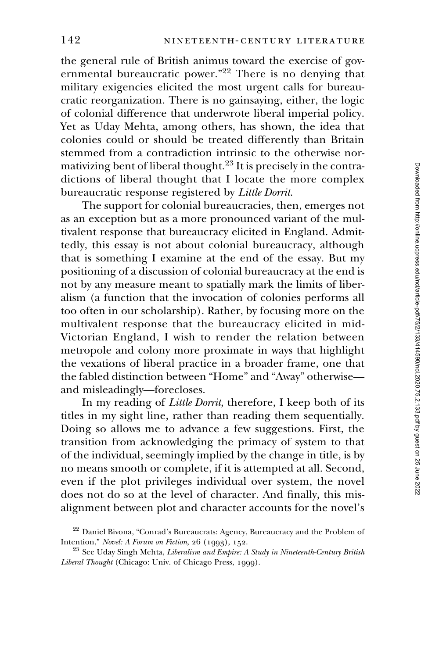the general rule of British animus toward the exercise of governmental bureaucratic power."22 There is no denying that military exigencies elicited the most urgent calls for bureaucratic reorganization. There is no gainsaying, either, the logic of colonial difference that underwrote liberal imperial policy. Yet as Uday Mehta, among others, has shown, the idea that colonies could or should be treated differently than Britain stemmed from a contradiction intrinsic to the otherwise normativizing bent of liberal thought.<sup>23</sup> It is precisely in the contradictions of liberal thought that I locate the more complex bureaucratic response registered by Little Dorrit.

The support for colonial bureaucracies, then, emerges not as an exception but as a more pronounced variant of the multivalent response that bureaucracy elicited in England. Admittedly, this essay is not about colonial bureaucracy, although that is something I examine at the end of the essay. But my positioning of a discussion of colonial bureaucracy at the end is not by any measure meant to spatially mark the limits of liberalism (a function that the invocation of colonies performs all too often in our scholarship). Rather, by focusing more on the multivalent response that the bureaucracy elicited in mid-Victorian England, I wish to render the relation between metropole and colony more proximate in ways that highlight the vexations of liberal practice in a broader frame, one that the fabled distinction between "Home" and "Away" otherwise and misleadingly—forecloses.

In my reading of *Little Dorrit*, therefore, I keep both of its titles in my sight line, rather than reading them sequentially. Doing so allows me to advance a few suggestions. First, the transition from acknowledging the primacy of system to that of the individual, seemingly implied by the change in title, is by no means smooth or complete, if it is attempted at all. Second, even if the plot privileges individual over system, the novel does not do so at the level of character. And finally, this misalignment between plot and character accounts for the novel's

<sup>22</sup> Daniel Bivona, "Conrad's Bureaucrats: Agency, Bureaucracy and the Problem of Intention," Novel: A Forum on Fiction, 26 (1993), 152.

<sup>&</sup>lt;sup>23</sup> See Uday Singh Mehta, Liberalism and Empire: A Study in Nineteenth-Century British Liberal Thought (Chicago: Univ. of Chicago Press, 1999).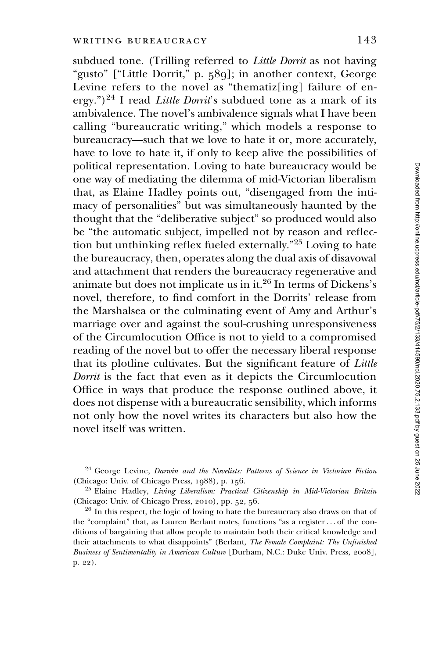subdued tone. (Trilling referred to *Little Dorrit* as not having "gusto" ["Little Dorrit," p. 589]; in another context, George Levine refers to the novel as "thematiz[ing] failure of energy.")<sup>24</sup> I read *Little Dorrit's* subdued tone as a mark of its ambivalence. The novel's ambivalence signals what I have been calling "bureaucratic writing," which models a response to bureaucracy—such that we love to hate it or, more accurately, have to love to hate it, if only to keep alive the possibilities of political representation. Loving to hate bureaucracy would be one way of mediating the dilemma of mid-Victorian liberalism that, as Elaine Hadley points out, "disengaged from the intimacy of personalities" but was simultaneously haunted by the thought that the "deliberative subject" so produced would also be "the automatic subject, impelled not by reason and reflection but unthinking reflex fueled externally."<sup>25</sup> Loving to hate the bureaucracy, then, operates along the dual axis of disavowal and attachment that renders the bureaucracy regenerative and animate but does not implicate us in it.<sup>26</sup> In terms of Dickens's novel, therefore, to find comfort in the Dorrits' release from the Marshalsea or the culminating event of Amy and Arthur's marriage over and against the soul-crushing unresponsiveness of the Circumlocution Office is not to yield to a compromised reading of the novel but to offer the necessary liberal response that its plotline cultivates. But the significant feature of Little Dorrit is the fact that even as it depicts the Circumlocution Office in ways that produce the response outlined above, it does not dispense with a bureaucratic sensibility, which informs not only how the novel writes its characters but also how the novel itself was written.

<sup>24</sup> George Levine, Darwin and the Novelists: Patterns of Science in Victorian Fiction (Chicago: Univ. of Chicago Press, 1988), p. 156.

<sup>25</sup> Elaine Hadley, Living Liberalism: Practical Citizenship in Mid-Victorian Britain (Chicago: Univ. of Chicago Press, 2010), pp. 52, 56.

<sup>26</sup> In this respect, the logic of loving to hate the bureaucracy also draws on that of the "complaint" that, as Lauren Berlant notes, functions "as a register... of the conditions of bargaining that allow people to maintain both their critical knowledge and their attachments to what disappoints" (Berlant, The Female Complaint: The Unfinished Business of Sentimentality in American Culture [Durham, N.C.: Duke Univ. Press, 2008], p. 22).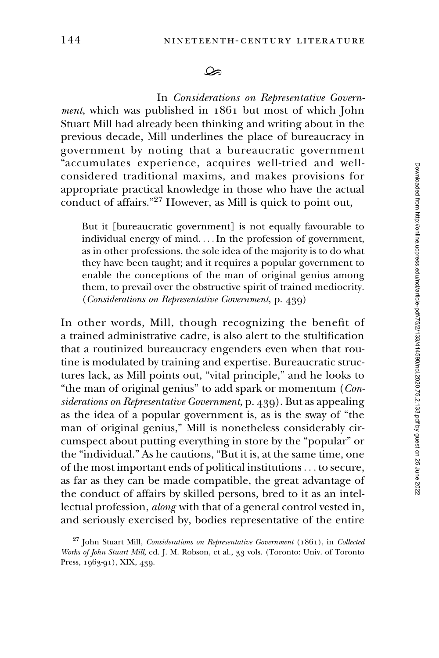ھک

In Considerations on Representative Government, which was published in 1861 but most of which John Stuart Mill had already been thinking and writing about in the previous decade, Mill underlines the place of bureaucracy in government by noting that a bureaucratic government "accumulates experience, acquires well-tried and wellconsidered traditional maxims, and makes provisions for appropriate practical knowledge in those who have the actual conduct of affairs."<sup>27</sup> However, as Mill is quick to point out,

But it [bureaucratic government] is not equally favourable to individual energy of mind. ...In the profession of government, as in other professions, the sole idea of the majority is to do what they have been taught; and it requires a popular government to enable the conceptions of the man of original genius among them, to prevail over the obstructive spirit of trained mediocrity. (Considerations on Representative Government, p. 439)

In other words, Mill, though recognizing the benefit of a trained administrative cadre, is also alert to the stultification that a routinized bureaucracy engenders even when that routine is modulated by training and expertise. Bureaucratic structures lack, as Mill points out, "vital principle," and he looks to "the man of original genius" to add spark or momentum  $(Con$ siderations on Representative Government, p. 439). But as appealing as the idea of a popular government is, as is the sway of "the man of original genius," Mill is nonetheless considerably circumspect about putting everything in store by the "popular" or the "individual." As he cautions, "But it is, at the same time, one of the most important ends of political institutions... to secure, as far as they can be made compatible, the great advantage of the conduct of affairs by skilled persons, bred to it as an intellectual profession, along with that of a general control vested in, and seriously exercised by, bodies representative of the entire

 $27$  John Stuart Mill, Considerations on Representative Government (1861), in Collected Works of John Stuart Mill, ed. J. M. Robson, et al., 33 vols. (Toronto: Univ. of Toronto Press, 1963-91), XIX, 439.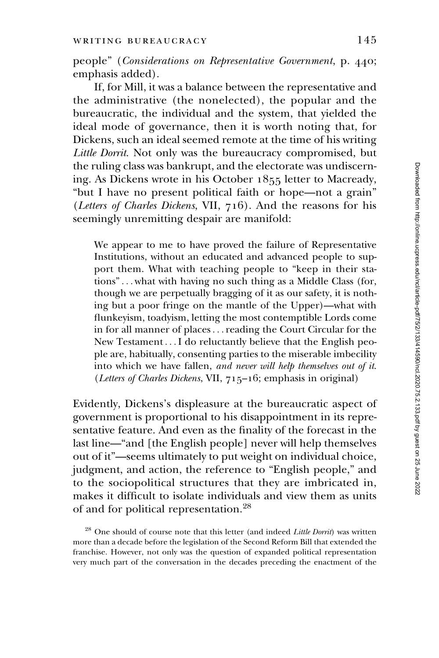people" (Considerations on Representative Government, p. 440; emphasis added).

If, for Mill, it was a balance between the representative and the administrative (the nonelected), the popular and the bureaucratic, the individual and the system, that yielded the ideal mode of governance, then it is worth noting that, for Dickens, such an ideal seemed remote at the time of his writing Little Dorrit. Not only was the bureaucracy compromised, but the ruling class was bankrupt, and the electorate was undiscerning. As Dickens wrote in his October 1855 letter to Macready, "but I have no present political faith or hope—not a grain" (Letters of Charles Dickens, VII, 716). And the reasons for his seemingly unremitting despair are manifold:

We appear to me to have proved the failure of Representative Institutions, without an educated and advanced people to support them. What with teaching people to "keep in their stations"... what with having no such thing as a Middle Class (for, though we are perpetually bragging of it as our safety, it is nothing but a poor fringe on the mantle of the Upper)—what with flunkeyism, toadyism, letting the most contemptible Lords come in for all manner of places...reading the Court Circular for the New Testament ...I do reluctantly believe that the English people are, habitually, consenting parties to the miserable imbecility into which we have fallen, and never will help themselves out of it. (Letters of Charles Dickens, VII, 715–16; emphasis in original)

Evidently, Dickens's displeasure at the bureaucratic aspect of government is proportional to his disappointment in its representative feature. And even as the finality of the forecast in the last line—"and [the English people] never will help themselves out of it"—seems ultimately to put weight on individual choice, judgment, and action, the reference to "English people," and to the sociopolitical structures that they are imbricated in, makes it difficult to isolate individuals and view them as units of and for political representation.<sup>28</sup>

 $28$  One should of course note that this letter (and indeed Little Dorrit) was written more than a decade before the legislation of the Second Reform Bill that extended the franchise. However, not only was the question of expanded political representation very much part of the conversation in the decades preceding the enactment of the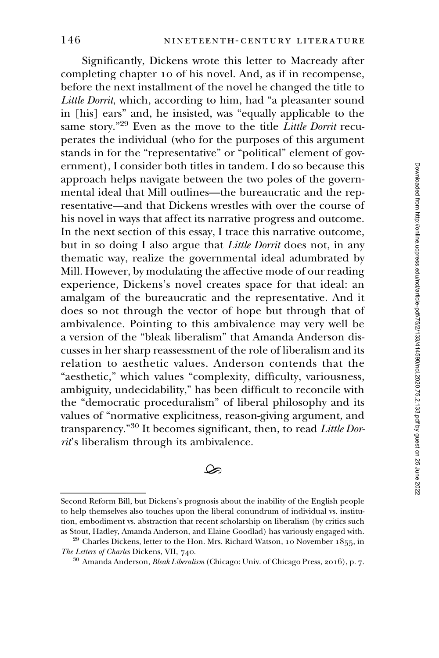Significantly, Dickens wrote this letter to Macready after completing chapter 10 of his novel. And, as if in recompense, before the next installment of the novel he changed the title to Little Dorrit, which, according to him, had "a pleasanter sound in [his] ears" and, he insisted, was "equally applicable to the same story."<sup>29</sup> Even as the move to the title Little Dorrit recuperates the individual (who for the purposes of this argument stands in for the "representative" or "political" element of government), I consider both titles in tandem. I do so because this approach helps navigate between the two poles of the governmental ideal that Mill outlines—the bureaucratic and the representative—and that Dickens wrestles with over the course of his novel in ways that affect its narrative progress and outcome. In the next section of this essay, I trace this narrative outcome, but in so doing I also argue that *Little Dorrit* does not, in any thematic way, realize the governmental ideal adumbrated by Mill. However, by modulating the affective mode of our reading experience, Dickens's novel creates space for that ideal: an amalgam of the bureaucratic and the representative. And it does so not through the vector of hope but through that of ambivalence. Pointing to this ambivalence may very well be a version of the "bleak liberalism" that Amanda Anderson discusses in her sharp reassessment of the role of liberalism and its relation to aesthetic values. Anderson contends that the "aesthetic," which values "complexity, difficulty, variousness, ambiguity, undecidability," has been difficult to reconcile with the "democratic proceduralism" of liberal philosophy and its values of "normative explicitness, reason-giving argument, and transparency."<sup>30</sup> It becomes significant, then, to read Little Dorrit's liberalism through its ambivalence. In the next section of<br>but in so doing I als<br>thematic way, realize<br>Mill. However, by mo<br>experience, Dickens<br>amalgam of the bur<br>does so not through<br>ambivalence. Pointin<br>a version of the "blea<br>cusses in her sharp re<br>relatio

 $\infty$ 

Second Reform Bill, but Dickens's prognosis about the inability of the English people to help themselves also touches upon the liberal conundrum of individual vs. institution, embodiment vs. abstraction that recent scholarship on liberalism (by critics such as Stout, Hadley, Amanda Anderson, and Elaine Goodlad) has variously engaged with.

 $29$  Charles Dickens, letter to the Hon. Mrs. Richard Watson, 10 November 1855, in The Letters of Charles Dickens, VII, 740.

<sup>&</sup>lt;sup>30</sup> Amanda Anderson, *Bleak Liberalism* (Chicago: Univ. of Chicago Press, 2016), p. 7.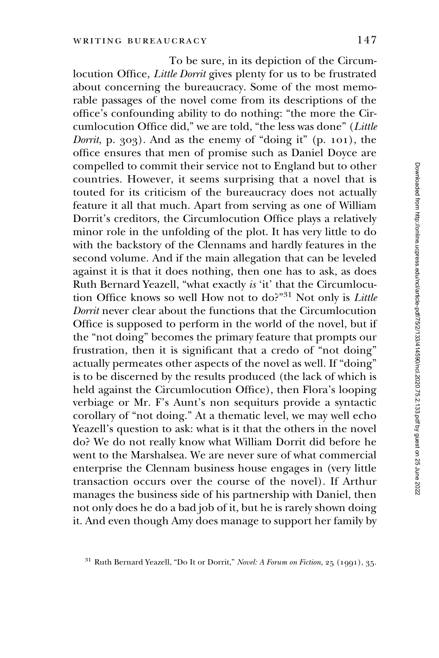To be sure, in its depiction of the Circumlocution Office, Little Dorrit gives plenty for us to be frustrated about concerning the bureaucracy. Some of the most memorable passages of the novel come from its descriptions of the office's confounding ability to do nothing: "the more the Circumlocution Office did," we are told, "the less was done" (Little *Dorrit*, p. 303). And as the enemy of "doing it" (p. 101), the office ensures that men of promise such as Daniel Doyce are compelled to commit their service not to England but to other countries. However, it seems surprising that a novel that is touted for its criticism of the bureaucracy does not actually feature it all that much. Apart from serving as one of William Dorrit's creditors, the Circumlocution Office plays a relatively minor role in the unfolding of the plot. It has very little to do with the backstory of the Clennams and hardly features in the second volume. And if the main allegation that can be leveled against it is that it does nothing, then one has to ask, as does Ruth Bernard Yeazell, "what exactly is 'it' that the Circumlocution Office knows so well How not to do?"<sup>31</sup> Not only is Little Dorrit never clear about the functions that the Circumlocution Office is supposed to perform in the world of the novel, but if the "not doing" becomes the primary feature that prompts our frustration, then it is significant that a credo of "not doing" actually permeates other aspects of the novel as well. If "doing" is to be discerned by the results produced (the lack of which is held against the Circumlocution Office), then Flora's looping verbiage or Mr. F's Aunt's non sequiturs provide a syntactic corollary of "not doing." At a thematic level, we may well echo Yeazell's question to ask: what is it that the others in the novel do? We do not really know what William Dorrit did before he went to the Marshalsea. We are never sure of what commercial enterprise the Clennam business house engages in (very little transaction occurs over the course of the novel). If Arthur manages the business side of his partnership with Daniel, then not only does he do a bad job of it, but he is rarely shown doing it. And even though Amy does manage to support her family by

<sup>&</sup>lt;sup>31</sup> Ruth Bernard Yeazell, "Do It or Dorrit," Novel: A Forum on Fiction, 25 (1991), 35.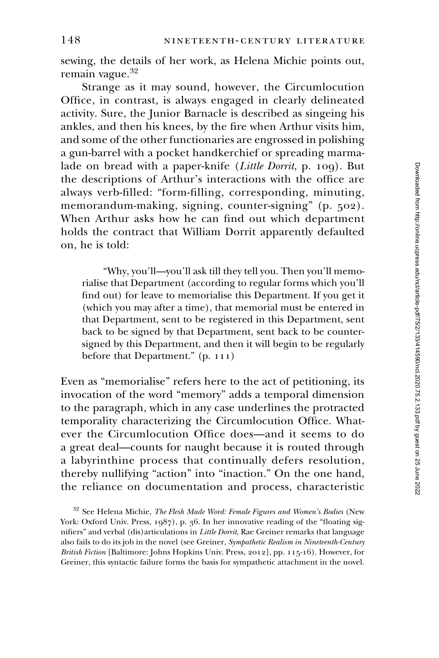sewing, the details of her work, as Helena Michie points out, remain vague.<sup>32</sup>

Strange as it may sound, however, the Circumlocution Office, in contrast, is always engaged in clearly delineated activity. Sure, the Junior Barnacle is described as singeing his ankles, and then his knees, by the fire when Arthur visits him, and some of the other functionaries are engrossed in polishing a gun-barrel with a pocket handkerchief or spreading marmalade on bread with a paper-knife (Little Dorrit, p. 109). But the descriptions of Arthur's interactions with the office are always verb-filled: "form-filling, corresponding, minuting, memorandum-making, signing, counter-signing" (p. 502). When Arthur asks how he can find out which department holds the contract that William Dorrit apparently defaulted on, he is told:

"Why, you'll—you'll ask till they tell you. Then you'll memorialise that Department (according to regular forms which you'll find out) for leave to memorialise this Department. If you get it (which you may after a time), that memorial must be entered in that Department, sent to be registered in this Department, sent back to be signed by that Department, sent back to be countersigned by this Department, and then it will begin to be regularly before that Department." (p. 111)

Even as "memorialise" refers here to the act of petitioning, its invocation of the word "memory" adds a temporal dimension to the paragraph, which in any case underlines the protracted temporality characterizing the Circumlocution Office. Whatever the Circumlocution Office does—and it seems to do a great deal—counts for naught because it is routed through a labyrinthine process that continually defers resolution, thereby nullifying "action" into "inaction." On the one hand, the reliance on documentation and process, characteristic

 $32$  See Helena Michie, The Flesh Made Word: Female Figures and Women's Bodies (New York: Oxford Univ. Press, 1987), p. 36. In her innovative reading of the "floating signifiers" and verbal (dis)articulations in *Little Dorrit*, Rae Greiner remarks that language also fails to do its job in the novel (see Greiner, Sympathetic Realism in Nineteenth-Century British Fiction [Baltimore: Johns Hopkins Univ. Press, 2012], pp. 115-16). However, for Greiner, this syntactic failure forms the basis for sympathetic attachment in the novel.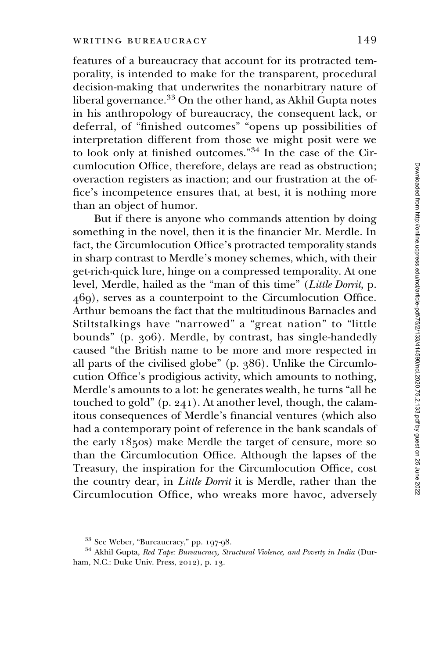features of a bureaucracy that account for its protracted temporality, is intended to make for the transparent, procedural decision-making that underwrites the nonarbitrary nature of liberal governance.<sup>33</sup> On the other hand, as Akhil Gupta notes in his anthropology of bureaucracy, the consequent lack, or deferral, of "finished outcomes" "opens up possibilities of interpretation different from those we might posit were we to look only at finished outcomes."<sup>34</sup> In the case of the Circumlocution Office, therefore, delays are read as obstruction; overaction registers as inaction; and our frustration at the office's incompetence ensures that, at best, it is nothing more than an object of humor.

But if there is anyone who commands attention by doing something in the novel, then it is the financier Mr. Merdle. In fact, the Circumlocution Office's protracted temporality stands in sharp contrast to Merdle's money schemes, which, with their get-rich-quick lure, hinge on a compressed temporality. At one level, Merdle, hailed as the "man of this time" (Little Dorrit, p. 469), serves as a counterpoint to the Circumlocution Office. Arthur bemoans the fact that the multitudinous Barnacles and Stiltstalkings have "narrowed" a "great nation" to "little bounds" (p. 306). Merdle, by contrast, has single-handedly caused "the British name to be more and more respected in all parts of the civilised globe" (p. 386). Unlike the Circumlocution Office's prodigious activity, which amounts to nothing, Merdle's amounts to a lot: he generates wealth, he turns "all he touched to gold" (p. 241). At another level, though, the calamitous consequences of Merdle's financial ventures (which also had a contemporary point of reference in the bank scandals of the early 1850s) make Merdle the target of censure, more so than the Circumlocution Office. Although the lapses of the Treasury, the inspiration for the Circumlocution Office, cost the country dear, in Little Dorrit it is Merdle, rather than the Circumlocution Office, who wreaks more havoc, adversely

 $33$  See Weber, "Bureaucracy," pp. 197-98.

<sup>&</sup>lt;sup>34</sup> Akhil Gupta, Red Tape: Bureaucracy, Structural Violence, and Poverty in India (Durham, N.C.: Duke Univ. Press, 2012), p. 13.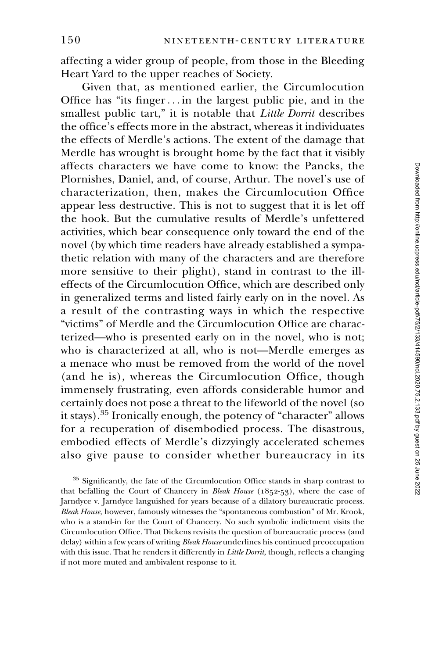affecting a wider group of people, from those in the Bleeding Heart Yard to the upper reaches of Society.

Given that, as mentioned earlier, the Circumlocution Office has "its finger... in the largest public pie, and in the smallest public tart," it is notable that Little Dorrit describes the office's effects more in the abstract, whereas it individuates the effects of Merdle's actions. The extent of the damage that Merdle has wrought is brought home by the fact that it visibly affects characters we have come to know: the Pancks, the Plornishes, Daniel, and, of course, Arthur. The novel's use of characterization, then, makes the Circumlocution Office appear less destructive. This is not to suggest that it is let off the hook. But the cumulative results of Merdle's unfettered activities, which bear consequence only toward the end of the novel (by which time readers have already established a sympathetic relation with many of the characters and are therefore more sensitive to their plight), stand in contrast to the illeffects of the Circumlocution Office, which are described only in generalized terms and listed fairly early on in the novel. As a result of the contrasting ways in which the respective "victims" of Merdle and the Circumlocution Office are characterized—who is presented early on in the novel, who is not; who is characterized at all, who is not—Merdle emerges as a menace who must be removed from the world of the novel (and he is), whereas the Circumlocution Office, though immensely frustrating, even affords considerable humor and certainly does not pose a threat to the lifeworld of the novel (so it stays).<sup>35</sup> Ironically enough, the potency of "character" allows for a recuperation of disembodied process. The disastrous, embodied effects of Merdle's dizzyingly accelerated schemes also give pause to consider whether bureaucracy in its

<sup>35</sup> Significantly, the fate of the Circumlocution Office stands in sharp contrast to that befalling the Court of Chancery in Bleak House  $(1852-53)$ , where the case of Jarndyce v. Jarndyce languished for years because of a dilatory bureaucratic process. Bleak House, however, famously witnesses the "spontaneous combustion" of Mr. Krook, who is a stand-in for the Court of Chancery. No such symbolic indictment visits the Circumlocution Office. That Dickens revisits the question of bureaucratic process (and delay) within a few years of writing Bleak House underlines his continued preoccupation with this issue. That he renders it differently in Little Dorrit, though, reflects a changing if not more muted and ambivalent response to it.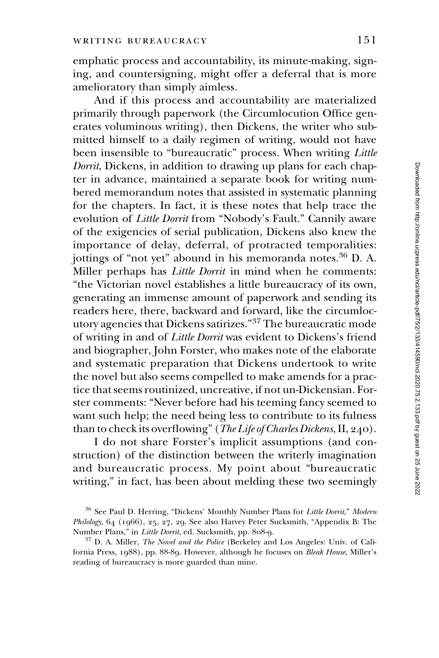emphatic process and accountability, its minute-making, signing, and countersigning, might offer a deferral that is more amelioratory than simply aimless.

And if this process and accountability are materialized primarily through paperwork (the Circumlocution Office generates voluminous writing), then Dickens, the writer who submitted himself to a daily regimen of writing, would not have been insensible to "bureaucratic" process. When writing Little Dorrit, Dickens, in addition to drawing up plans for each chapter in advance, maintained a separate book for writing numbered memorandum notes that assisted in systematic planning for the chapters. In fact, it is these notes that help trace the evolution of Little Dorrit from "Nobody's Fault." Cannily aware of the exigencies of serial publication, Dickens also knew the importance of delay, deferral, of protracted temporalities: jottings of "not yet" abound in his memoranda notes.<sup>36</sup> D. A. Miller perhaps has Little Dorrit in mind when he comments: "the Victorian novel establishes a little bureaucracy of its own, generating an immense amount of paperwork and sending its readers here, there, backward and forward, like the circumlocutory agencies that Dickens satirizes."<sup>37</sup> The bureaucratic mode of writing in and of Little Dorrit was evident to Dickens's friend and biographer, John Forster, who makes note of the elaborate and systematic preparation that Dickens undertook to write the novel but also seems compelled to make amends for a practice that seems routinized, uncreative, if not un-Dickensian. Forster comments: "Never before had his teeming fancy seemed to want such help; the need being less to contribute to its fulness than to check its overflowing" (The Life of Charles Dickens, II, 240).

I do not share Forster's implicit assumptions (and construction) of the distinction between the writerly imagination and bureaucratic process. My point about "bureaucratic writing," in fact, has been about melding these two seemingly

<sup>&</sup>lt;sup>36</sup> See Paul D. Herring, "Dickens' Monthly Number Plans for Little Dorrit," Modern Philology, 64 (1966), 25, 27, 29. See also Harvey Peter Sucksmith, "Appendix B: The Number Plans," in Little Dorrit, ed. Sucksmith, pp. 808-9.

 $37$  D. A. Miller, *The Novel and the Police* (Berkeley and Los Angeles: Univ. of California Press, 1988), pp. 88-89. However, although he focuses on Bleak House, Miller's reading of bureaucracy is more guarded than mine.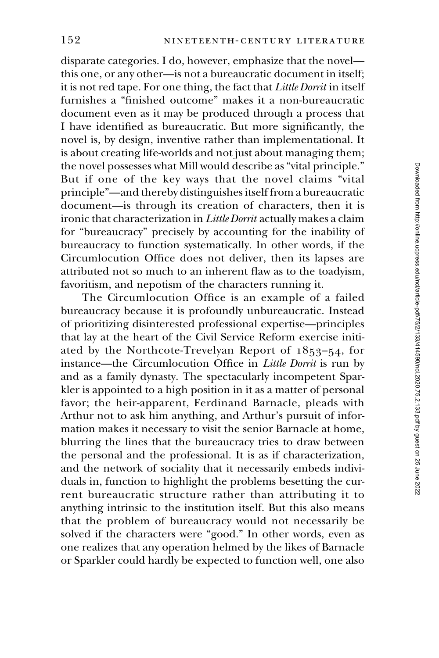disparate categories. I do, however, emphasize that the novel this one, or any other—is not a bureaucratic document in itself; it is not red tape. For one thing, the fact that Little Dorrit in itself furnishes a "finished outcome" makes it a non-bureaucratic document even as it may be produced through a process that I have identified as bureaucratic. But more significantly, the novel is, by design, inventive rather than implementational. It is about creating life-worlds and not just about managing them; the novel possesses what Mill would describe as "vital principle." But if one of the key ways that the novel claims "vital principle"—and thereby distinguishes itself from a bureaucratic document—is through its creation of characters, then it is ironic that characterization in Little Dorrit actually makes a claim for "bureaucracy" precisely by accounting for the inability of bureaucracy to function systematically. In other words, if the Circumlocution Office does not deliver, then its lapses are attributed not so much to an inherent flaw as to the toadyism, favoritism, and nepotism of the characters running it.

The Circumlocution Office is an example of a failed bureaucracy because it is profoundly unbureaucratic. Instead of prioritizing disinterested professional expertise—principles that lay at the heart of the Civil Service Reform exercise initiated by the Northcote-Trevelyan Report of 1853–54, for instance—the Circumlocution Office in Little Dorrit is run by and as a family dynasty. The spectacularly incompetent Sparkler is appointed to a high position in it as a matter of personal favor; the heir-apparent, Ferdinand Barnacle, pleads with Arthur not to ask him anything, and Arthur's pursuit of information makes it necessary to visit the senior Barnacle at home, blurring the lines that the bureaucracy tries to draw between the personal and the professional. It is as if characterization, and the network of sociality that it necessarily embeds individuals in, function to highlight the problems besetting the current bureaucratic structure rather than attributing it to anything intrinsic to the institution itself. But this also means that the problem of bureaucracy would not necessarily be solved if the characters were "good." In other words, even as one realizes that any operation helmed by the likes of Barnacle or Sparkler could hardly be expected to function well, one also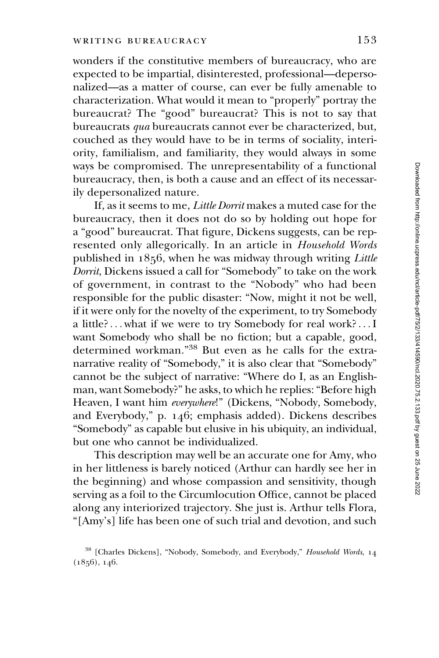wonders if the constitutive members of bureaucracy, who are expected to be impartial, disinterested, professional—depersonalized—as a matter of course, can ever be fully amenable to characterization. What would it mean to "properly" portray the bureaucrat? The "good" bureaucrat? This is not to say that bureaucrats qua bureaucrats cannot ever be characterized, but, couched as they would have to be in terms of sociality, interiority, familialism, and familiarity, they would always in some ways be compromised. The unrepresentability of a functional bureaucracy, then, is both a cause and an effect of its necessarily depersonalized nature.

If, as it seems to me, Little Dorrit makes a muted case for the bureaucracy, then it does not do so by holding out hope for a "good" bureaucrat. That figure, Dickens suggests, can be represented only allegorically. In an article in Household Words published in 1856, when he was midway through writing Little Dorrit, Dickens issued a call for "Somebody" to take on the work of government, in contrast to the "Nobody" who had been responsible for the public disaster: "Now, might it not be well, if it were only for the novelty of the experiment, to try Somebody a little?... what if we were to try Somebody for real work?...I want Somebody who shall be no fiction; but a capable, good, determined workman."<sup>38</sup> But even as he calls for the extranarrative reality of "Somebody," it is also clear that "Somebody" cannot be the subject of narrative: "Where do I, as an Englishman, want Somebody?" he asks, to which he replies: "Before high Heaven, I want him everywhere!" (Dickens, "Nobody, Somebody, and Everybody," p. 146; emphasis added). Dickens describes "Somebody" as capable but elusive in his ubiquity, an individual, but one who cannot be individualized.

This description may well be an accurate one for Amy, who in her littleness is barely noticed (Arthur can hardly see her in the beginning) and whose compassion and sensitivity, though serving as a foil to the Circumlocution Office, cannot be placed along any interiorized trajectory. She just is. Arthur tells Flora, "[Amy's] life has been one of such trial and devotion, and such

<sup>&</sup>lt;sup>38</sup> [Charles Dickens], "Nobody, Somebody, and Everybody," Household Words, 14  $(1856), 146.$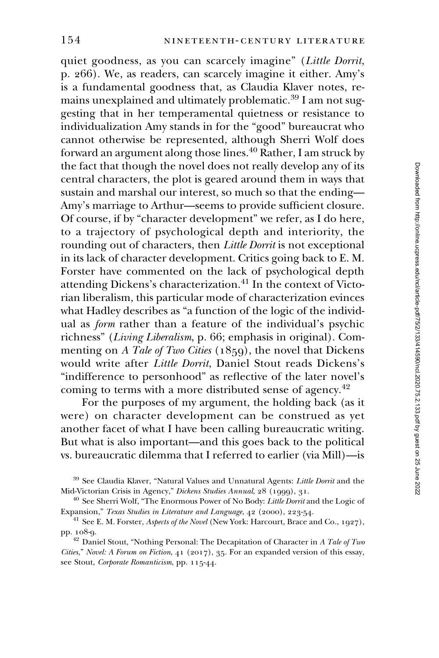quiet goodness, as you can scarcely imagine" (Little Dorrit, p. 266). We, as readers, can scarcely imagine it either. Amy's is a fundamental goodness that, as Claudia Klaver notes, remains unexplained and ultimately problematic.<sup>39</sup> I am not suggesting that in her temperamental quietness or resistance to individualization Amy stands in for the "good" bureaucrat who cannot otherwise be represented, although Sherri Wolf does forward an argument along those lines.<sup>40</sup> Rather, I am struck by the fact that though the novel does not really develop any of its central characters, the plot is geared around them in ways that sustain and marshal our interest, so much so that the ending— Amy's marriage to Arthur—seems to provide sufficient closure. Of course, if by "character development" we refer, as I do here, to a trajectory of psychological depth and interiority, the rounding out of characters, then Little Dorrit is not exceptional in its lack of character development. Critics going back to E. M. Forster have commented on the lack of psychological depth attending Dickens's characterization.<sup>41</sup> In the context of Victorian liberalism, this particular mode of characterization evinces what Hadley describes as "a function of the logic of the individual as form rather than a feature of the individual's psychic richness" (Living Liberalism, p. 66; emphasis in original). Commenting on A Tale of Two Cities (1859), the novel that Dickens would write after Little Dorrit, Daniel Stout reads Dickens's "indifference to personhood" as reflective of the later novel's coming to terms with a more distributed sense of agency.<sup>42</sup>

For the purposes of my argument, the holding back (as it were) on character development can be construed as yet another facet of what I have been calling bureaucratic writing. But what is also important—and this goes back to the political vs. bureaucratic dilemma that I referred to earlier (via Mill)—is

<sup>&</sup>lt;sup>39</sup> See Claudia Klaver, "Natural Values and Unnatural Agents: Little Dorrit and the Mid-Victorian Crisis in Agency," Dickens Studies Annual, 28 (1999), 31.

 $40$  See Sherri Wolf, "The Enormous Power of No Body: *Little Dorrit* and the Logic of Expansion," Texas Studies in Literature and Language, 42 (2000), 223-54.

 $41$  See E. M. Forster, *Aspects of the Novel* (New York: Harcourt, Brace and Co., 1927), pp. 108-9.

<sup>&</sup>lt;sup>42</sup> Daniel Stout, "Nothing Personal: The Decapitation of Character in A Tale of Two Cities," Novel: A Forum on Fiction, 41 (2017), 35. For an expanded version of this essay, see Stout, Corporate Romanticism, pp. 115-44.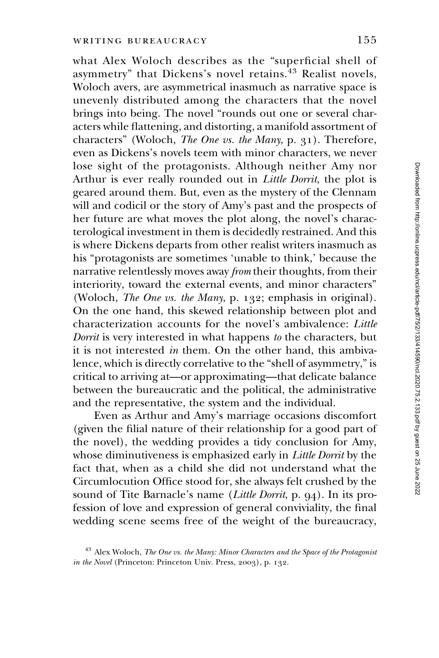what Alex Woloch describes as the "superficial shell of asymmetry" that Dickens's novel retains.<sup>43</sup> Realist novels, Woloch avers, are asymmetrical inasmuch as narrative space is unevenly distributed among the characters that the novel brings into being. The novel "rounds out one or several characters while flattening, and distorting, a manifold assortment of characters" (Woloch, The One vs. the Many, p. 31). Therefore, even as Dickens's novels teem with minor characters, we never lose sight of the protagonists. Although neither Amy nor Arthur is ever really rounded out in Little Dorrit, the plot is geared around them. But, even as the mystery of the Clennam will and codicil or the story of Amy's past and the prospects of her future are what moves the plot along, the novel's characterological investment in them is decidedly restrained. And this is where Dickens departs from other realist writers inasmuch as his "protagonists are sometimes 'unable to think,' because the narrative relentlessly moves away from their thoughts, from their interiority, toward the external events, and minor characters" (Woloch, The One vs. the Many, p. 132; emphasis in original). On the one hand, this skewed relationship between plot and characterization accounts for the novel's ambivalence: Little Dorrit is very interested in what happens to the characters, but it is not interested in them. On the other hand, this ambivalence, which is directly correlative to the "shell of asymmetry," is critical to arriving at—or approximating—that delicate balance between the bureaucratic and the political, the administrative and the representative, the system and the individual.

Even as Arthur and Amy's marriage occasions discomfort (given the filial nature of their relationship for a good part of the novel), the wedding provides a tidy conclusion for Amy, whose diminutiveness is emphasized early in *Little Dorrit* by the fact that, when as a child she did not understand what the Circumlocution Office stood for, she always felt crushed by the sound of Tite Barnacle's name (Little Dorrit, p. 94). In its profession of love and expression of general conviviality, the final wedding scene seems free of the weight of the bureaucracy,

 $43$  Alex Woloch, The One vs. the Many: Minor Characters and the Space of the Protagonist in the Novel (Princeton: Princeton Univ. Press, 2003), p. 132.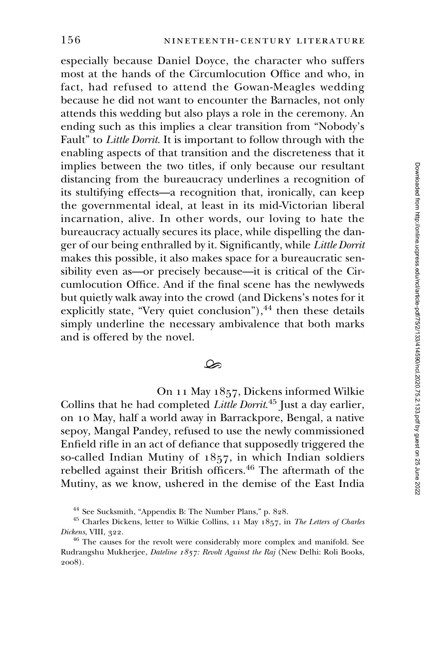especially because Daniel Doyce, the character who suffers most at the hands of the Circumlocution Office and who, in fact, had refused to attend the Gowan-Meagles wedding because he did not want to encounter the Barnacles, not only attends this wedding but also plays a role in the ceremony. An ending such as this implies a clear transition from "Nobody's Fault" to Little Dorrit. It is important to follow through with the enabling aspects of that transition and the discreteness that it implies between the two titles, if only because our resultant distancing from the bureaucracy underlines a recognition of its stultifying effects—a recognition that, ironically, can keep the governmental ideal, at least in its mid-Victorian liberal incarnation, alive. In other words, our loving to hate the bureaucracy actually secures its place, while dispelling the danger of our being enthralled by it. Significantly, while Little Dorrit makes this possible, it also makes space for a bureaucratic sensibility even as—or precisely because—it is critical of the Circumlocution Office. And if the final scene has the newlyweds but quietly walk away into the crowd (and Dickens's notes for it explicitly state, "Very quiet conclusion"), $^{44}$  then these details simply underline the necessary ambivalence that both marks and is offered by the novel.

## $\infty$

On 11 May 1857, Dickens informed Wilkie Collins that he had completed Little Dorrit.<sup>45</sup> Just a day earlier, on 10 May, half a world away in Barrackpore, Bengal, a native sepoy, Mangal Pandey, refused to use the newly commissioned Enfield rifle in an act of defiance that supposedly triggered the so-called Indian Mutiny of 1857, in which Indian soldiers rebelled against their British officers.<sup>46</sup> The aftermath of the Mutiny, as we know, ushered in the demise of the East India

<sup>44</sup> See Sucksmith, "Appendix B: The Number Plans," p. 828.

<sup>&</sup>lt;sup>45</sup> Charles Dickens, letter to Wilkie Collins, 11 May 1857, in The Letters of Charles Dickens, VIII, 322.

<sup>&</sup>lt;sup>46</sup> The causes for the revolt were considerably more complex and manifold. See Rudrangshu Mukherjee, Dateline 1857: Revolt Against the Raj (New Delhi: Roli Books, 2008).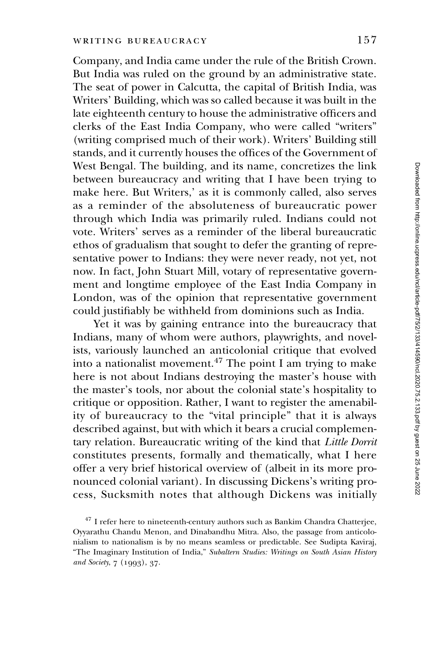Company, and India came under the rule of the British Crown. But India was ruled on the ground by an administrative state. The seat of power in Calcutta, the capital of British India, was Writers' Building, which was so called because it was built in the late eighteenth century to house the administrative officers and clerks of the East India Company, who were called "writers" (writing comprised much of their work). Writers' Building still stands, and it currently houses the offices of the Government of West Bengal. The building, and its name, concretizes the link between bureaucracy and writing that I have been trying to make here. But Writers,' as it is commonly called, also serves as a reminder of the absoluteness of bureaucratic power through which India was primarily ruled. Indians could not vote. Writers' serves as a reminder of the liberal bureaucratic ethos of gradualism that sought to defer the granting of representative power to Indians: they were never ready, not yet, not now. In fact, John Stuart Mill, votary of representative government and longtime employee of the East India Company in London, was of the opinion that representative government could justifiably be withheld from dominions such as India.

Yet it was by gaining entrance into the bureaucracy that Indians, many of whom were authors, playwrights, and novelists, variously launched an anticolonial critique that evolved into a nationalist movement.<sup>47</sup> The point I am trying to make here is not about Indians destroying the master's house with the master's tools, nor about the colonial state's hospitality to critique or opposition. Rather, I want to register the amenability of bureaucracy to the "vital principle" that it is always described against, but with which it bears a crucial complementary relation. Bureaucratic writing of the kind that Little Dorrit constitutes presents, formally and thematically, what I here offer a very brief historical overview of (albeit in its more pronounced colonial variant). In discussing Dickens's writing process, Sucksmith notes that although Dickens was initially

<sup>&</sup>lt;sup>47</sup> I refer here to nineteenth-century authors such as Bankim Chandra Chatterjee, Oyyarathu Chandu Menon, and Dinabandhu Mitra. Also, the passage from anticolonialism to nationalism is by no means seamless or predictable. See Sudipta Kaviraj, "The Imaginary Institution of India," Subaltern Studies: Writings on South Asian History and Society, 7 (1993), 37.